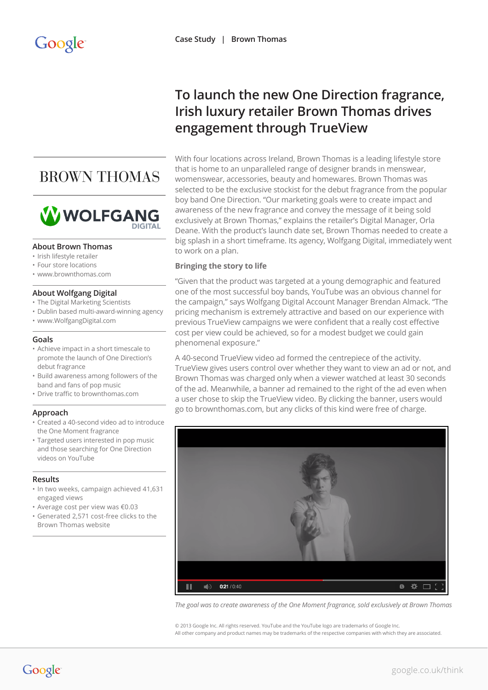# **BROWN THOMAS**



#### **About Brown Thomas**

- Irish lifestyle retailer
- Four store locations
- www.brownthomas.com

### **About Wolfgang Digital**

- The Digital Marketing Scientists
- Dublin based multi-award-winning agency
- www.WolfgangDigital.com

#### **Goals**

- Achieve impact in a short timescale to promote the launch of One Direction's debut fragrance
- Build awareness among followers of the band and fans of pop music
- Drive traffic to brownthomas.com

### **Approach**

- Created a 40-second video ad to introduce the One Moment fragrance
- Targeted users interested in pop music and those searching for One Direction videos on YouTube

### **Results**

- In two weeks, campaign achieved 41,631 engaged views
- Average cost per view was €0.03
- Generated 2,571 cost-free clicks to the Brown Thomas website

# **To launch the new One Direction fragrance, Irish luxury retailer Brown Thomas drives engagement through TrueView**

With four locations across Ireland, Brown Thomas is a leading lifestyle store that is home to an unparalleled range of designer brands in menswear, womenswear, accessories, beauty and homewares. Brown Thomas was selected to be the exclusive stockist for the debut fragrance from the popular boy band One Direction. "Our marketing goals were to create impact and awareness of the new fragrance and convey the message of it being sold exclusively at Brown Thomas," explains the retailer's Digital Manager, Orla Deane. With the product's launch date set, Brown Thomas needed to create a big splash in a short timeframe. Its agency, Wolfgang Digital, immediately went to work on a plan.

### **Bringing the story to life**

"Given that the product was targeted at a young demographic and featured one of the most successful boy bands, YouTube was an obvious channel for the campaign," says Wolfgang Digital Account Manager Brendan Almack. "The pricing mechanism is extremely attractive and based on our experience with previous TrueView campaigns we were confident that a really cost effective cost per view could be achieved, so for a modest budget we could gain phenomenal exposure."

A 40-second TrueView video ad formed the centrepiece of the activity. TrueView gives users control over whether they want to view an ad or not, and Brown Thomas was charged only when a viewer watched at least 30 seconds of the ad. Meanwhile, a banner ad remained to the right of the ad even when a user chose to skip the TrueView video. By clicking the banner, users would go to brownthomas.com, but any clicks of this kind were free of charge.



*The goal was to create awareness of the One Moment fragrance, sold exclusively at Brown Thomas*

© 2013 Google Inc. All rights reserved. YouTube and the YouTube logo are trademarks of Google Inc. All other company and product names may be trademarks of the respective companies with which they are associated.